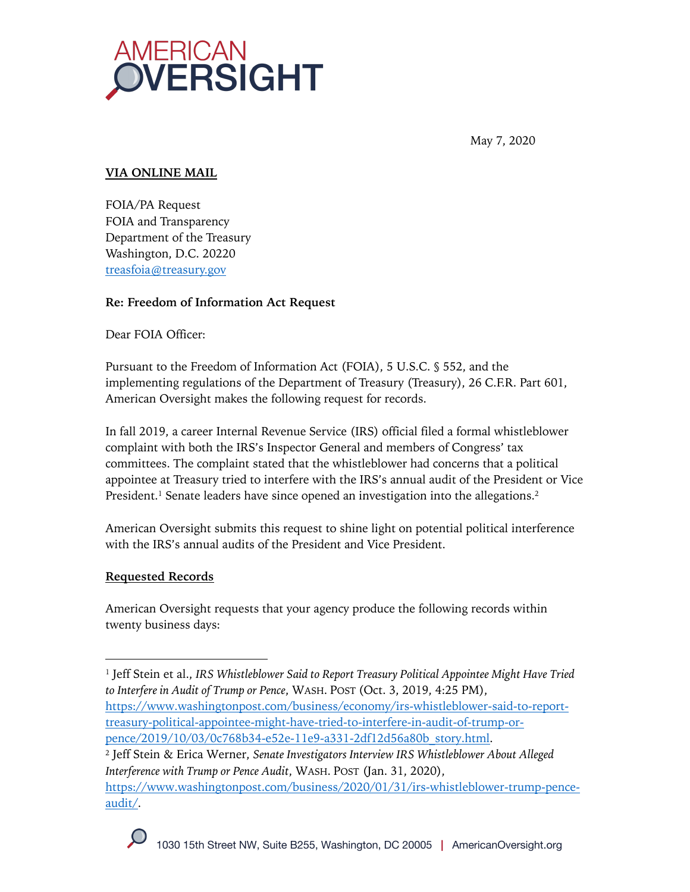

May 7, 2020

# **VIA ONLINE MAIL**

FOIA/PA Request FOIA and Transparency Department of the Treasury Washington, D.C. 20220 treasfoia@treasury.gov

## **Re: Freedom of Information Act Request**

Dear FOIA Officer:

Pursuant to the Freedom of Information Act (FOIA), 5 U.S.C. § 552, and the implementing regulations of the Department of Treasury (Treasury), 26 C.F.R. Part 601, American Oversight makes the following request for records.

In fall 2019, a career Internal Revenue Service (IRS) official filed a formal whistleblower complaint with both the IRS's Inspector General and members of Congress' tax committees. The complaint stated that the whistleblower had concerns that a political appointee at Treasury tried to interfere with the IRS's annual audit of the President or Vice President. <sup>1</sup> Senate leaders have since opened an investigation into the allegations.2

American Oversight submits this request to shine light on potential political interference with the IRS's annual audits of the President and Vice President.

## **Requested Records**

American Oversight requests that your agency produce the following records within twenty business days:

<sup>2</sup> Jeff Stein & Erica Werner, *Senate Investigators Interview IRS Whistleblower About Alleged Interference with Trump or Pence Audit*, WASH. POST (Jan. 31, 2020), https://www.washingtonpost.com/business/2020/01/31/irs-whistleblower-trump-penceaudit/.

<sup>1</sup> Jeff Stein et al., *IRS Whistleblower Said to Report Treasury Political Appointee Might Have Tried to Interfere in Audit of Trump or Pence*, WASH. POST (Oct. 3, 2019, 4:25 PM), https://www.washingtonpost.com/business/economy/irs-whistleblower-said-to-reporttreasury-political-appointee-might-have-tried-to-interfere-in-audit-of-trump-orpence/2019/10/03/0c768b34-e52e-11e9-a331-2df12d56a80b\_story.html.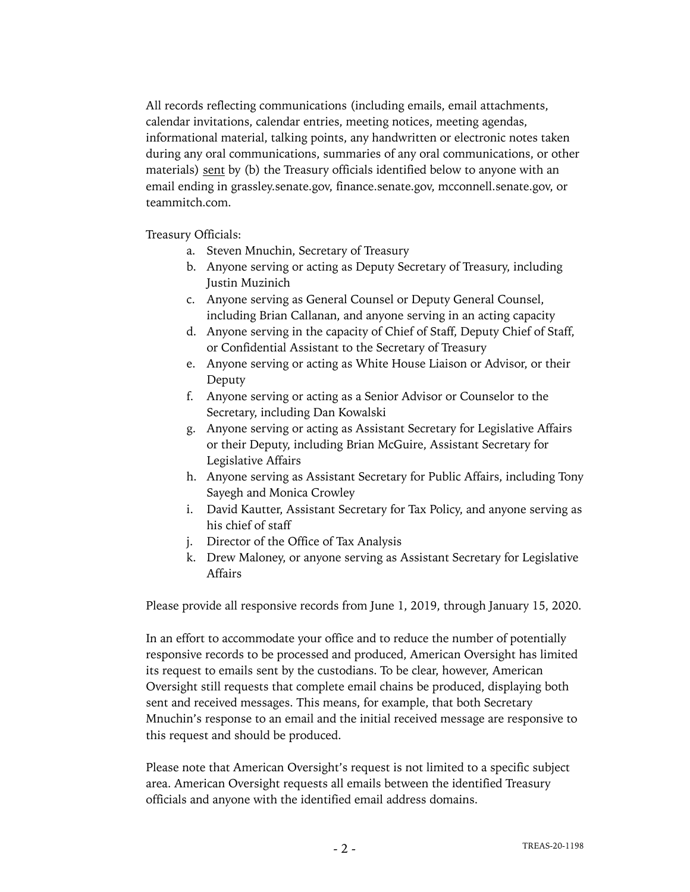All records reflecting communications (including emails, email attachments, calendar invitations, calendar entries, meeting notices, meeting agendas, informational material, talking points, any handwritten or electronic notes taken during any oral communications, summaries of any oral communications, or other materials) sent by (b) the Treasury officials identified below to anyone with an email ending in grassley.senate.gov, finance.senate.gov, mcconnell.senate.gov, or teammitch.com.

Treasury Officials:

- a. Steven Mnuchin, Secretary of Treasury
- b. Anyone serving or acting as Deputy Secretary of Treasury, including Justin Muzinich
- c. Anyone serving as General Counsel or Deputy General Counsel, including Brian Callanan, and anyone serving in an acting capacity
- d. Anyone serving in the capacity of Chief of Staff, Deputy Chief of Staff, or Confidential Assistant to the Secretary of Treasury
- e. Anyone serving or acting as White House Liaison or Advisor, or their Deputy
- f. Anyone serving or acting as a Senior Advisor or Counselor to the Secretary, including Dan Kowalski
- g. Anyone serving or acting as Assistant Secretary for Legislative Affairs or their Deputy, including Brian McGuire, Assistant Secretary for Legislative Affairs
- h. Anyone serving as Assistant Secretary for Public Affairs, including Tony Sayegh and Monica Crowley
- i. David Kautter, Assistant Secretary for Tax Policy, and anyone serving as his chief of staff
- j. Director of the Office of Tax Analysis
- k. Drew Maloney, or anyone serving as Assistant Secretary for Legislative Affairs

Please provide all responsive records from June 1, 2019, through January 15, 2020.

In an effort to accommodate your office and to reduce the number of potentially responsive records to be processed and produced, American Oversight has limited its request to emails sent by the custodians. To be clear, however, American Oversight still requests that complete email chains be produced, displaying both sent and received messages. This means, for example, that both Secretary Mnuchin's response to an email and the initial received message are responsive to this request and should be produced.

Please note that American Oversight's request is not limited to a specific subject area. American Oversight requests all emails between the identified Treasury officials and anyone with the identified email address domains.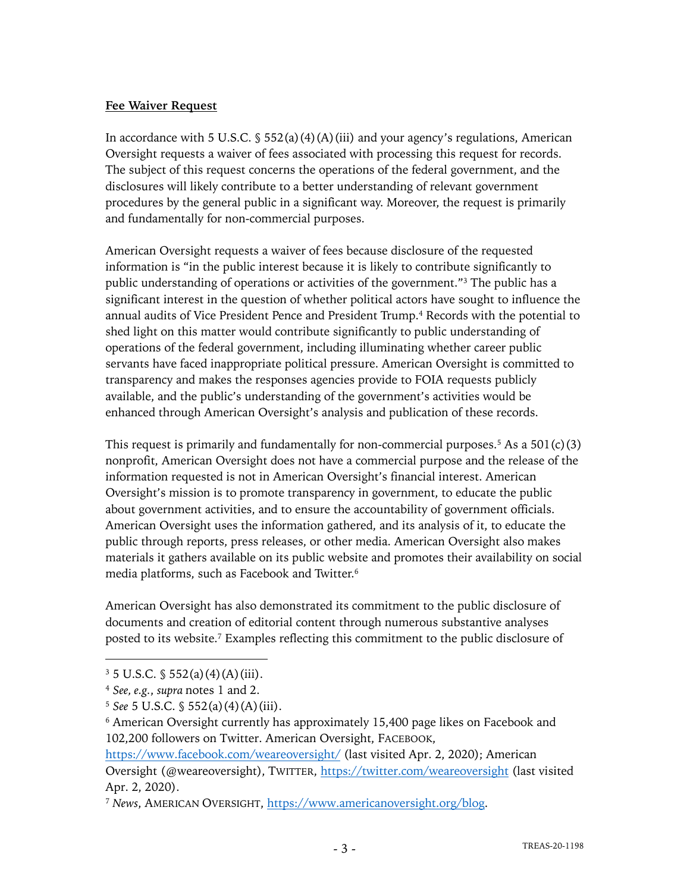### **Fee Waiver Request**

In accordance with 5 U.S.C.  $\S$  552(a)(4)(A)(iii) and your agency's regulations, American Oversight requests a waiver of fees associated with processing this request for records. The subject of this request concerns the operations of the federal government, and the disclosures will likely contribute to a better understanding of relevant government procedures by the general public in a significant way. Moreover, the request is primarily and fundamentally for non-commercial purposes.

American Oversight requests a waiver of fees because disclosure of the requested information is "in the public interest because it is likely to contribute significantly to public understanding of operations or activities of the government."3 The public has a significant interest in the question of whether political actors have sought to influence the annual audits of Vice President Pence and President Trump.<sup>4</sup> Records with the potential to shed light on this matter would contribute significantly to public understanding of operations of the federal government, including illuminating whether career public servants have faced inappropriate political pressure. American Oversight is committed to transparency and makes the responses agencies provide to FOIA requests publicly available, and the public's understanding of the government's activities would be enhanced through American Oversight's analysis and publication of these records.

This request is primarily and fundamentally for non-commercial purposes.<sup>5</sup> As a  $501(c)(3)$ nonprofit, American Oversight does not have a commercial purpose and the release of the information requested is not in American Oversight's financial interest. American Oversight's mission is to promote transparency in government, to educate the public about government activities, and to ensure the accountability of government officials. American Oversight uses the information gathered, and its analysis of it, to educate the public through reports, press releases, or other media. American Oversight also makes materials it gathers available on its public website and promotes their availability on social media platforms, such as Facebook and Twitter.6

American Oversight has also demonstrated its commitment to the public disclosure of documents and creation of editorial content through numerous substantive analyses posted to its website. <sup>7</sup> Examples reflecting this commitment to the public disclosure of

 $3\,5$  U.S.C.  $\frac{6}{3}$  552(a)(4)(A)(iii).

<sup>4</sup> *See, e.g.*, *supra* notes 1 and 2.

<sup>5</sup> *See* 5 U.S.C. § 552(a)(4)(A)(iii).

<sup>6</sup> American Oversight currently has approximately 15,400 page likes on Facebook and 102,200 followers on Twitter. American Oversight, FACEBOOK,

https://www.facebook.com/weareoversight/ (last visited Apr. 2, 2020); American Oversight (@weareoversight), TWITTER, https://twitter.com/weareoversight (last visited Apr. 2, 2020).

<sup>7</sup> *News*, AMERICAN OVERSIGHT, https://www.americanoversight.org/blog.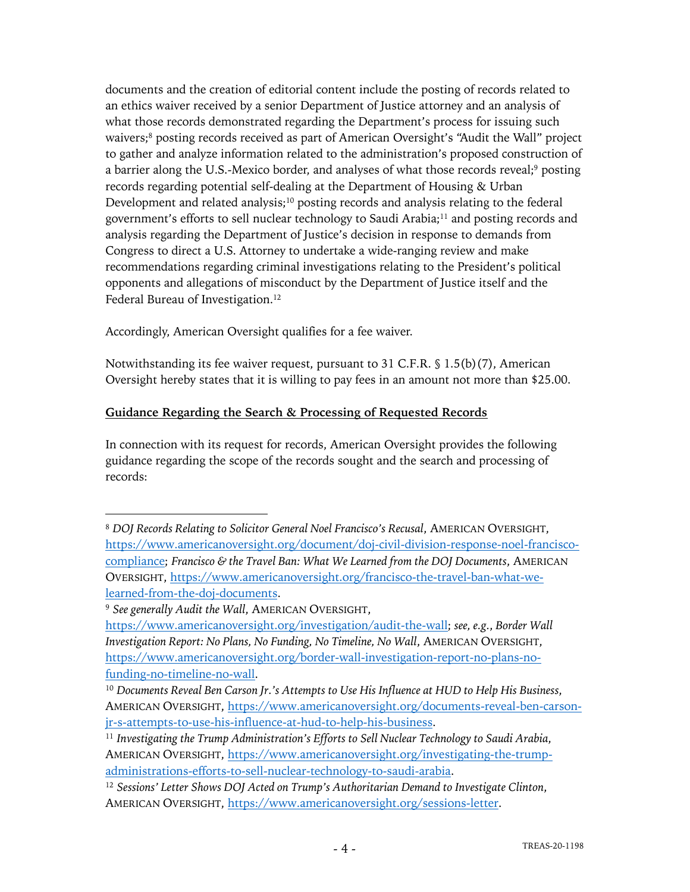documents and the creation of editorial content include the posting of records related to an ethics waiver received by a senior Department of Justice attorney and an analysis of what those records demonstrated regarding the Department's process for issuing such waivers;8 posting records received as part of American Oversight's "Audit the Wall" project to gather and analyze information related to the administration's proposed construction of a barrier along the U.S.-Mexico border, and analyses of what those records reveal;<sup>9</sup> posting records regarding potential self-dealing at the Department of Housing & Urban Development and related analysis;<sup>10</sup> posting records and analysis relating to the federal government's efforts to sell nuclear technology to Saudi Arabia;11 and posting records and analysis regarding the Department of Justice's decision in response to demands from Congress to direct a U.S. Attorney to undertake a wide-ranging review and make recommendations regarding criminal investigations relating to the President's political opponents and allegations of misconduct by the Department of Justice itself and the Federal Bureau of Investigation.<sup>12</sup>

Accordingly, American Oversight qualifies for a fee waiver.

Notwithstanding its fee waiver request, pursuant to 31 C.F.R. § 1.5(b)(7), American Oversight hereby states that it is willing to pay fees in an amount not more than \$25.00.

## **Guidance Regarding the Search & Processing of Requested Records**

In connection with its request for records, American Oversight provides the following guidance regarding the scope of the records sought and the search and processing of records:

<sup>8</sup> *DOJ Records Relating to Solicitor General Noel Francisco's Recusal*, AMERICAN OVERSIGHT, https://www.americanoversight.org/document/doj-civil-division-response-noel-franciscocompliance; *Francisco & the Travel Ban: What We Learned from the DOJ Documents*, AMERICAN OVERSIGHT, https://www.americanoversight.org/francisco-the-travel-ban-what-welearned-from-the-doj-documents.

<sup>9</sup> *See generally Audit the Wall*, AMERICAN OVERSIGHT,

https://www.americanoversight.org/investigation/audit-the-wall; *see, e.g.*, *Border Wall Investigation Report: No Plans, No Funding, No Timeline, No Wall*, AMERICAN OVERSIGHT, https://www.americanoversight.org/border-wall-investigation-report-no-plans-nofunding-no-timeline-no-wall.

<sup>10</sup> *Documents Reveal Ben Carson Jr.'s Attempts to Use His Influence at HUD to Help His Business*, AMERICAN OVERSIGHT, https://www.americanoversight.org/documents-reveal-ben-carsonjr-s-attempts-to-use-his-influence-at-hud-to-help-his-business.

<sup>11</sup> *Investigating the Trump Administration's Efforts to Sell Nuclear Technology to Saudi Arabia*, AMERICAN OVERSIGHT, https://www.americanoversight.org/investigating-the-trumpadministrations-efforts-to-sell-nuclear-technology-to-saudi-arabia.

<sup>12</sup> *Sessions' Letter Shows DOJ Acted on Trump's Authoritarian Demand to Investigate Clinton*, AMERICAN OVERSIGHT, https://www.americanoversight.org/sessions-letter.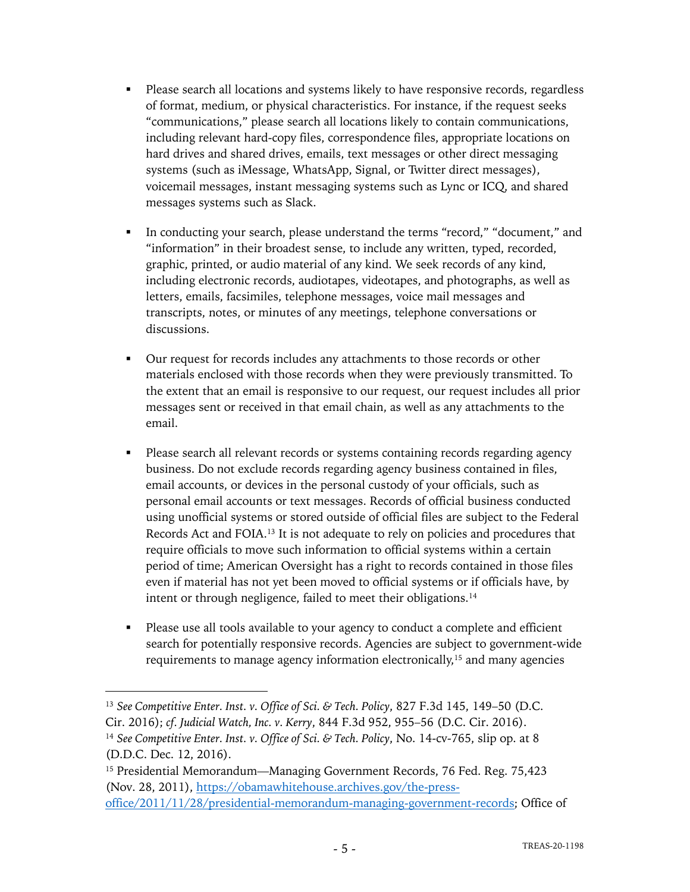- Please search all locations and systems likely to have responsive records, regardless of format, medium, or physical characteristics. For instance, if the request seeks "communications," please search all locations likely to contain communications, including relevant hard-copy files, correspondence files, appropriate locations on hard drives and shared drives, emails, text messages or other direct messaging systems (such as iMessage, WhatsApp, Signal, or Twitter direct messages), voicemail messages, instant messaging systems such as Lync or ICQ, and shared messages systems such as Slack.
- In conducting your search, please understand the terms "record," "document," and "information" in their broadest sense, to include any written, typed, recorded, graphic, printed, or audio material of any kind. We seek records of any kind, including electronic records, audiotapes, videotapes, and photographs, as well as letters, emails, facsimiles, telephone messages, voice mail messages and transcripts, notes, or minutes of any meetings, telephone conversations or discussions.
- Our request for records includes any attachments to those records or other materials enclosed with those records when they were previously transmitted. To the extent that an email is responsive to our request, our request includes all prior messages sent or received in that email chain, as well as any attachments to the email.
- Please search all relevant records or systems containing records regarding agency business. Do not exclude records regarding agency business contained in files, email accounts, or devices in the personal custody of your officials, such as personal email accounts or text messages. Records of official business conducted using unofficial systems or stored outside of official files are subject to the Federal Records Act and FOIA.13 It is not adequate to rely on policies and procedures that require officials to move such information to official systems within a certain period of time; American Oversight has a right to records contained in those files even if material has not yet been moved to official systems or if officials have, by intent or through negligence, failed to meet their obligations.<sup>14</sup>
- Please use all tools available to your agency to conduct a complete and efficient search for potentially responsive records. Agencies are subject to government-wide requirements to manage agency information electronically,<sup>15</sup> and many agencies

<sup>13</sup> *See Competitive Enter. Inst. v. Office of Sci. & Tech. Policy*, 827 F.3d 145, 149–50 (D.C. Cir. 2016); *cf. Judicial Watch, Inc. v. Kerry*, 844 F.3d 952, 955–56 (D.C. Cir. 2016). <sup>14</sup> *See Competitive Enter. Inst. v. Office of Sci. & Tech. Policy*, No. 14-cv-765, slip op. at 8 (D.D.C. Dec. 12, 2016).

<sup>&</sup>lt;sup>15</sup> Presidential Memorandum—Managing Government Records, 76 Fed. Reg. 75,423 (Nov. 28, 2011), https://obamawhitehouse.archives.gov/the-pressoffice/2011/11/28/presidential-memorandum-managing-government-records; Office of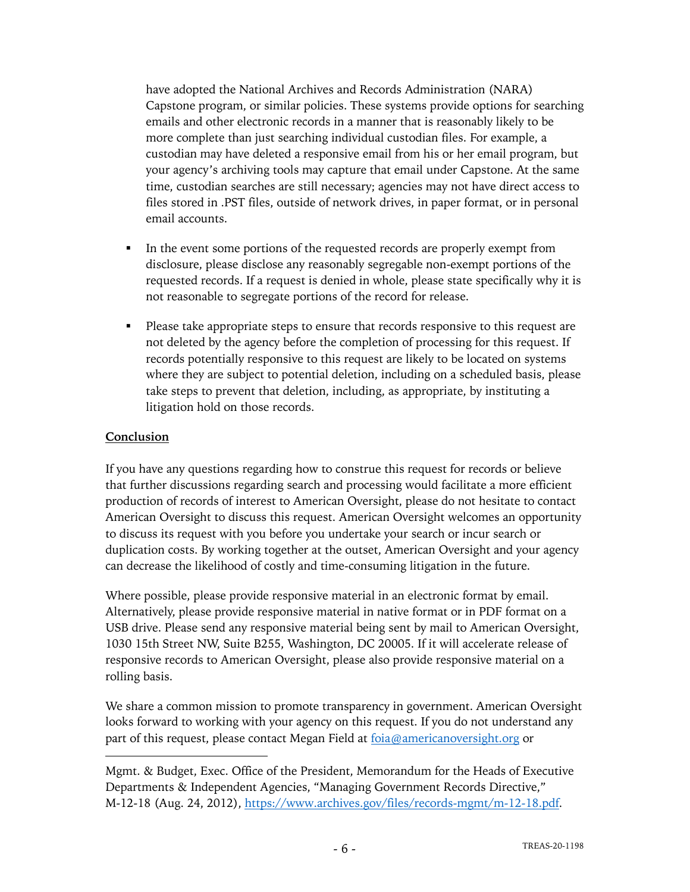have adopted the National Archives and Records Administration (NARA) Capstone program, or similar policies. These systems provide options for searching emails and other electronic records in a manner that is reasonably likely to be more complete than just searching individual custodian files. For example, a custodian may have deleted a responsive email from his or her email program, but your agency's archiving tools may capture that email under Capstone. At the same time, custodian searches are still necessary; agencies may not have direct access to files stored in .PST files, outside of network drives, in paper format, or in personal email accounts.

- In the event some portions of the requested records are properly exempt from disclosure, please disclose any reasonably segregable non-exempt portions of the requested records. If a request is denied in whole, please state specifically why it is not reasonable to segregate portions of the record for release.
- Please take appropriate steps to ensure that records responsive to this request are not deleted by the agency before the completion of processing for this request. If records potentially responsive to this request are likely to be located on systems where they are subject to potential deletion, including on a scheduled basis, please take steps to prevent that deletion, including, as appropriate, by instituting a litigation hold on those records.

### **Conclusion**

If you have any questions regarding how to construe this request for records or believe that further discussions regarding search and processing would facilitate a more efficient production of records of interest to American Oversight, please do not hesitate to contact American Oversight to discuss this request. American Oversight welcomes an opportunity to discuss its request with you before you undertake your search or incur search or duplication costs. By working together at the outset, American Oversight and your agency can decrease the likelihood of costly and time-consuming litigation in the future.

Where possible, please provide responsive material in an electronic format by email. Alternatively, please provide responsive material in native format or in PDF format on a USB drive. Please send any responsive material being sent by mail to American Oversight, 1030 15th Street NW, Suite B255, Washington, DC 20005. If it will accelerate release of responsive records to American Oversight, please also provide responsive material on a rolling basis.

We share a common mission to promote transparency in government. American Oversight looks forward to working with your agency on this request. If you do not understand any part of this request, please contact Megan Field at  $f{o}$ ia@americanoversight.org or

Mgmt. & Budget, Exec. Office of the President, Memorandum for the Heads of Executive Departments & Independent Agencies, "Managing Government Records Directive," M-12-18 (Aug. 24, 2012), https://www.archives.gov/files/records-mgmt/m-12-18.pdf.